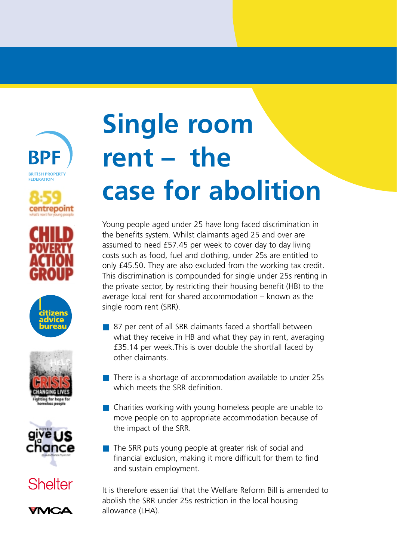











**Shelter** 



# **Single room rent – the case for abolition**

Young people aged under 25 have long faced discrimination in the benefits system. Whilst claimants aged 25 and over are assumed to need £57.45 per week to cover day to day living costs such as food, fuel and clothing, under 25s are entitled to only £45.50. They are also excluded from the working tax credit. This discrimination is compounded for single under 25s renting in the private sector, by restricting their housing benefit (HB) to the average local rent for shared accommodation – known as the single room rent (SRR).

- 87 per cent of all SRR claimants faced a shortfall between what they receive in HB and what they pay in rent, averaging £35.14 per week.This is over double the shortfall faced by other claimants.
- There is a shortage of accommodation available to under 25s which meets the SRR definition.
- Charities working with young homeless people are unable to move people on to appropriate accommodation because of the impact of the SRR.
- The SRR puts young people at greater risk of social and financial exclusion, making it more difficult for them to find and sustain employment.

It is therefore essential that the Welfare Reform Bill is amended to abolish the SRR under 25s restriction in the local housing allowance (LHA).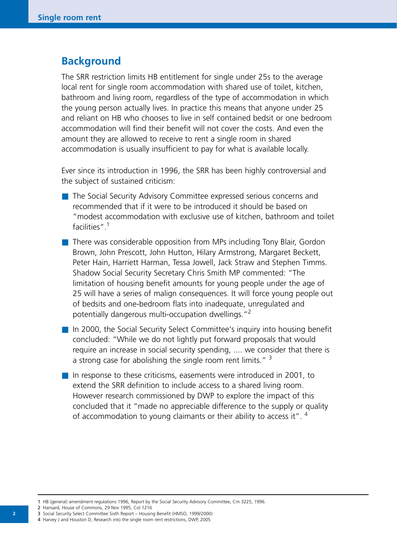## **Background**

The SRR restriction limits HB entitlement for single under 25s to the average local rent for single room accommodation with shared use of toilet, kitchen, bathroom and living room, regardless of the type of accommodation in which the young person actually lives. In practice this means that anyone under 25 and reliant on HB who chooses to live in self contained bedsit or one bedroom accommodation will find their benefit will not cover the costs. And even the amount they are allowed to receive to rent a single room in shared accommodation is usually insufficient to pay for what is available locally.

Ever since its introduction in 1996, the SRR has been highly controversial and the subject of sustained criticism:

- The Social Security Advisory Committee expressed serious concerns and recommended that if it were to be introduced it should be based on "modest accommodation with exclusive use of kitchen, bathroom and toilet facilities".1
- There was considerable opposition from MPs including Tony Blair, Gordon Brown, John Prescott, John Hutton, Hilary Armstrong, Margaret Beckett, Peter Hain, Harriett Harman, Tessa Jowell, Jack Straw and Stephen Timms. Shadow Social Security Secretary Chris Smith MP commented: "The limitation of housing benefit amounts for young people under the age of 25 will have a series of malign consequences. It will force young people out of bedsits and one-bedroom flats into inadequate, unregulated and potentially dangerous multi-occupation dwellings."2
- In 2000, the Social Security Select Committee's inquiry into housing benefit concluded: "While we do not lightly put forward proposals that would require an increase in social security spending, .... we consider that there is a strong case for abolishing the single room rent limits."  $3$
- In response to these criticisms, easements were introduced in 2001, to extend the SRR definition to include access to a shared living room. However research commissioned by DWP to explore the impact of this concluded that it "made no appreciable difference to the supply or quality of accommodation to young claimants or their ability to access it". <sup>4</sup>

<sup>1</sup> HB (general) amendment regulations 1996, Report by the Social Security Advisory Committee, Cm 3225, 1996.

<sup>2</sup> Hansard, House of Commons, 29 Nov 1995, Col 1216

<sup>3</sup> Social Security Select Committee Sixth Report – Housing Benefit (HMSO, 1999/2000)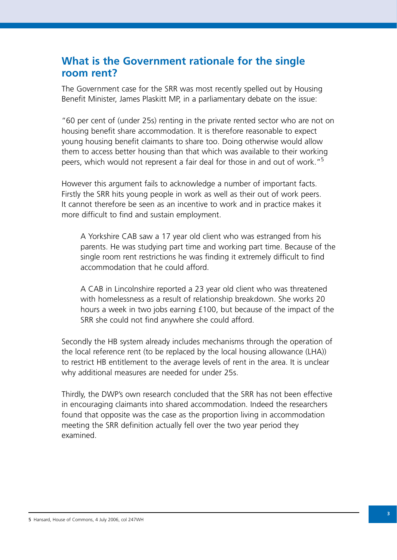## **What is the Government rationale for the single room rent?**

The Government case for the SRR was most recently spelled out by Housing Benefit Minister, James Plaskitt MP, in a parliamentary debate on the issue:

"60 per cent of (under 25s) renting in the private rented sector who are not on housing benefit share accommodation. It is therefore reasonable to expect young housing benefit claimants to share too. Doing otherwise would allow them to access better housing than that which was available to their working peers, which would not represent a fair deal for those in and out of work."<sup>5</sup>

However this argument fails to acknowledge a number of important facts. Firstly the SRR hits young people in work as well as their out of work peers. It cannot therefore be seen as an incentive to work and in practice makes it more difficult to find and sustain employment.

A Yorkshire CAB saw a 17 year old client who was estranged from his parents. He was studying part time and working part time. Because of the single room rent restrictions he was finding it extremely difficult to find accommodation that he could afford.

A CAB in Lincolnshire reported a 23 year old client who was threatened with homelessness as a result of relationship breakdown. She works 20 hours a week in two jobs earning £100, but because of the impact of the SRR she could not find anywhere she could afford.

Secondly the HB system already includes mechanisms through the operation of the local reference rent (to be replaced by the local housing allowance (LHA)) to restrict HB entitlement to the average levels of rent in the area. It is unclear why additional measures are needed for under 25s.

Thirdly, the DWP's own research concluded that the SRR has not been effective in encouraging claimants into shared accommodation. Indeed the researchers found that opposite was the case as the proportion living in accommodation meeting the SRR definition actually fell over the two year period they examined.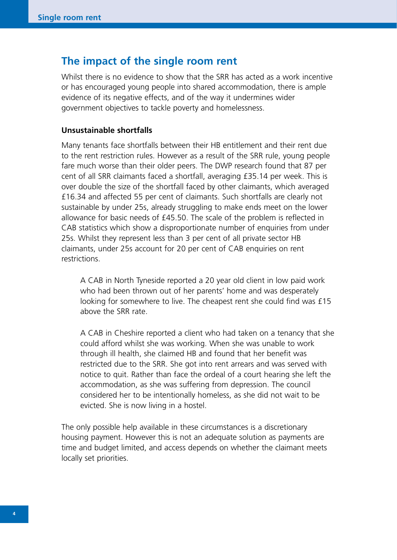## **The impact of the single room rent**

Whilst there is no evidence to show that the SRR has acted as a work incentive or has encouraged young people into shared accommodation, there is ample evidence of its negative effects, and of the way it undermines wider government objectives to tackle poverty and homelessness.

#### **Unsustainable shortfalls**

Many tenants face shortfalls between their HB entitlement and their rent due to the rent restriction rules. However as a result of the SRR rule, young people fare much worse than their older peers. The DWP research found that 87 per cent of all SRR claimants faced a shortfall, averaging £35.14 per week. This is over double the size of the shortfall faced by other claimants, which averaged £16.34 and affected 55 per cent of claimants. Such shortfalls are clearly not sustainable by under 25s, already struggling to make ends meet on the lower allowance for basic needs of £45.50. The scale of the problem is reflected in CAB statistics which show a disproportionate number of enquiries from under 25s. Whilst they represent less than 3 per cent of all private sector HB claimants, under 25s account for 20 per cent of CAB enquiries on rent restrictions.

A CAB in North Tyneside reported a 20 year old client in low paid work who had been thrown out of her parents' home and was desperately looking for somewhere to live. The cheapest rent she could find was £15 above the SRR rate.

A CAB in Cheshire reported a client who had taken on a tenancy that she could afford whilst she was working. When she was unable to work through ill health, she claimed HB and found that her benefit was restricted due to the SRR. She got into rent arrears and was served with notice to quit. Rather than face the ordeal of a court hearing she left the accommodation, as she was suffering from depression. The council considered her to be intentionally homeless, as she did not wait to be evicted. She is now living in a hostel.

The only possible help available in these circumstances is a discretionary housing payment. However this is not an adequate solution as payments are time and budget limited, and access depends on whether the claimant meets locally set priorities.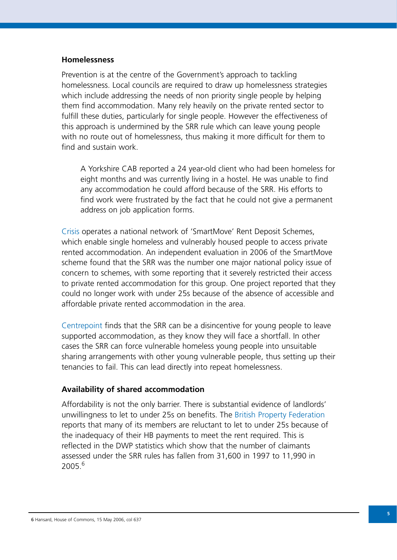#### **Homelessness**

Prevention is at the centre of the Government's approach to tackling homelessness. Local councils are required to draw up homelessness strategies which include addressing the needs of non priority single people by helping them find accommodation. Many rely heavily on the private rented sector to fulfill these duties, particularly for single people. However the effectiveness of this approach is undermined by the SRR rule which can leave young people with no route out of homelessness, thus making it more difficult for them to find and sustain work.

A Yorkshire CAB reported a 24 year-old client who had been homeless for eight months and was currently living in a hostel. He was unable to find any accommodation he could afford because of the SRR. His efforts to find work were frustrated by the fact that he could not give a permanent address on job application forms.

Crisis operates a national network of 'SmartMove' Rent Deposit Schemes, which enable single homeless and vulnerably housed people to access private rented accommodation. An independent evaluation in 2006 of the SmartMove scheme found that the SRR was the number one major national policy issue of concern to schemes, with some reporting that it severely restricted their access to private rented accommodation for this group. One project reported that they could no longer work with under 25s because of the absence of accessible and affordable private rented accommodation in the area.

Centrepoint finds that the SRR can be a disincentive for young people to leave supported accommodation, as they know they will face a shortfall. In other cases the SRR can force vulnerable homeless young people into unsuitable sharing arrangements with other young vulnerable people, thus setting up their tenancies to fail. This can lead directly into repeat homelessness.

#### **Availability of shared accommodation**

Affordability is not the only barrier. There is substantial evidence of landlords' unwillingness to let to under 25s on benefits. The British Property Federation reports that many of its members are reluctant to let to under 25s because of the inadequacy of their HB payments to meet the rent required. This is reflected in the DWP statistics which show that the number of claimants assessed under the SRR rules has fallen from 31,600 in 1997 to 11,990 in 2005.6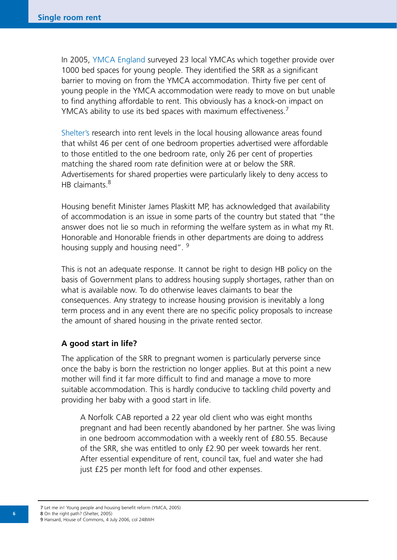In 2005, YMCA England surveyed 23 local YMCAs which together provide over 1000 bed spaces for young people. They identified the SRR as a significant barrier to moving on from the YMCA accommodation. Thirty five per cent of young people in the YMCA accommodation were ready to move on but unable to find anything affordable to rent. This obviously has a knock-on impact on YMCA's ability to use its bed spaces with maximum effectiveness.<sup>7</sup>

Shelter's research into rent levels in the local housing allowance areas found that whilst 46 per cent of one bedroom properties advertised were affordable to those entitled to the one bedroom rate, only 26 per cent of properties matching the shared room rate definition were at or below the SRR. Advertisements for shared properties were particularly likely to deny access to HB claimants.<sup>8</sup>

Housing benefit Minister James Plaskitt MP, has acknowledged that availability of accommodation is an issue in some parts of the country but stated that "the answer does not lie so much in reforming the welfare system as in what my Rt. Honorable and Honorable friends in other departments are doing to address housing supply and housing need". <sup>9</sup>

This is not an adequate response. It cannot be right to design HB policy on the basis of Government plans to address housing supply shortages, rather than on what is available now. To do otherwise leaves claimants to bear the consequences. Any strategy to increase housing provision is inevitably a long term process and in any event there are no specific policy proposals to increase the amount of shared housing in the private rented sector.

#### **A good start in life?**

The application of the SRR to pregnant women is particularly perverse since once the baby is born the restriction no longer applies. But at this point a new mother will find it far more difficult to find and manage a move to more suitable accommodation. This is hardly conducive to tackling child poverty and providing her baby with a good start in life.

A Norfolk CAB reported a 22 year old client who was eight months pregnant and had been recently abandoned by her partner. She was living in one bedroom accommodation with a weekly rent of £80.55. Because of the SRR, she was entitled to only £2.90 per week towards her rent. After essential expenditure of rent, council tax, fuel and water she had just £25 per month left for food and other expenses.

7 Let me in! Young people and housing benefit reform (YMCA, 2005) 8 On the right path? (Shelter, 2005) 9 Hansard, House of Commons, 4 July 2006, col 248WH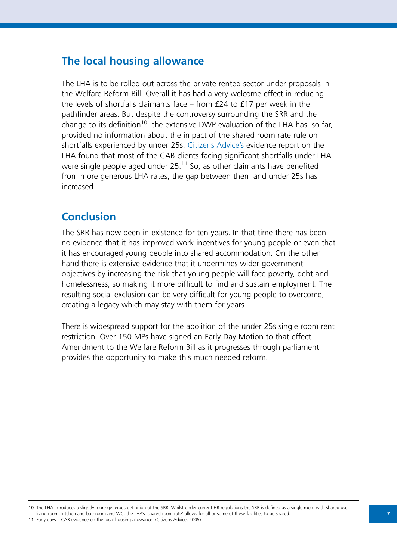## **The local housing allowance**

The LHA is to be rolled out across the private rented sector under proposals in the Welfare Reform Bill. Overall it has had a very welcome effect in reducing the levels of shortfalls claimants face – from £24 to £17 per week in the pathfinder areas. But despite the controversy surrounding the SRR and the change to its definition<sup>10</sup>, the extensive DWP evaluation of the LHA has, so far, provided no information about the impact of the shared room rate rule on shortfalls experienced by under 25s. Citizens Advice's evidence report on the LHA found that most of the CAB clients facing significant shortfalls under LHA were single people aged under  $25^{11}$  So, as other claimants have benefited from more generous LHA rates, the gap between them and under 25s has increased.

# **Conclusion**

The SRR has now been in existence for ten years. In that time there has been no evidence that it has improved work incentives for young people or even that it has encouraged young people into shared accommodation. On the other hand there is extensive evidence that it undermines wider government objectives by increasing the risk that young people will face poverty, debt and homelessness, so making it more difficult to find and sustain employment. The resulting social exclusion can be very difficult for young people to overcome, creating a legacy which may stay with them for years.

There is widespread support for the abolition of the under 25s single room rent restriction. Over 150 MPs have signed an Early Day Motion to that effect. Amendment to the Welfare Reform Bill as it progresses through parliament provides the opportunity to make this much needed reform.

<sup>10</sup> The LHA introduces a slightly more generous definition of the SRR. Whilst under current HB regulations the SRR is defined as a single room with shared use living room, kitchen and bathroom and WC, the LHA's 'shared room rate' allows for all or some of these facilities to be shared.

<sup>11</sup> Early days – CAB evidence on the local housing allowance, (Citizens Advice, 2005)